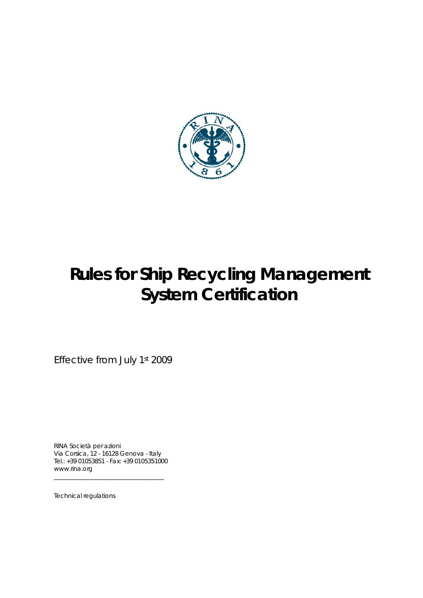

*Effective from July 1st 2009* 

RINA Società per azioni Via Corsica, 12 - 16128 Genova - Italy Tel.: +39 01053851 - Fax: +39 0105351000 www.rina.org

\_\_\_\_\_\_\_\_\_\_\_\_\_\_\_\_\_\_\_\_\_\_\_\_\_\_\_\_\_\_\_\_\_\_\_\_\_

Technical regulations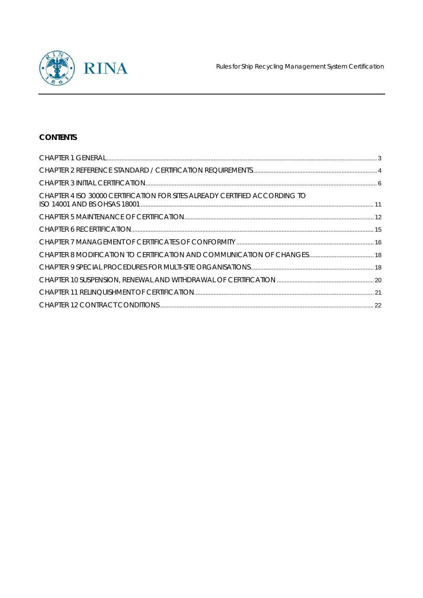

# **CONTENTS**

| CHAPTER 4 ISO 30000 CERTIFICATION FOR SITES ALREADY CERTIFIED ACCORDING TO |  |
|----------------------------------------------------------------------------|--|
|                                                                            |  |
|                                                                            |  |
|                                                                            |  |
|                                                                            |  |
|                                                                            |  |
|                                                                            |  |
|                                                                            |  |
|                                                                            |  |
|                                                                            |  |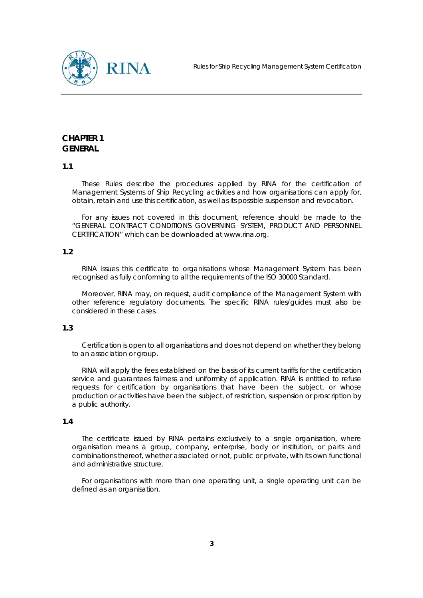

# **CHAPTER 1 GENERAL**

## **1.1**

These Rules describe the procedures applied by RINA for the certification of Management Systems of Ship Recycling activities and how organisations can apply for, obtain, retain and use this certification, as well as its possible suspension and revocation.

For any issues not covered in this document, reference should be made to the "GENERAL CONTRACT CONDITIONS GOVERNING SYSTEM, PRODUCT AND PERSONNEL CERTIFICATION" which can be downloaded at www.rina.org.

## **1.2**

RINA issues this certificate to organisations whose Management System has been recognised as fully conforming to all the requirements of the ISO 30000 Standard.

Moreover, RINA may, on request, audit compliance of the Management System with other reference regulatory documents. The specific RINA rules/guides must also be considered in these cases.

## **1.3**

Certification is open to all organisations and does not depend on whether they belong to an association or group.

RINA will apply the fees established on the basis of its current tariffs for the certification service and guarantees fairness and uniformity of application. RINA is entitled to refuse requests for certification by organisations that have been the subject, or whose production or activities have been the subject, of restriction, suspension or proscription by a public authority.

#### **1.4**

The certificate issued by RINA pertains exclusively to a single organisation, where organisation means a group, company, enterprise, body or institution, or parts and combinations thereof, whether associated or not, public or private, with its own functional and administrative structure.

For organisations with more than one operating unit, a single operating unit can be defined as an organisation.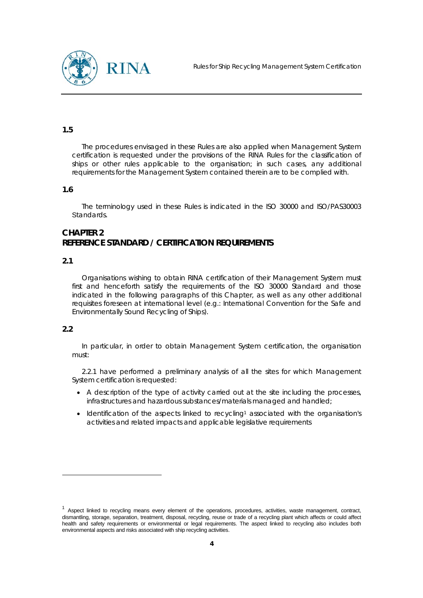



The procedures envisaged in these Rules are also applied when Management System certification is requested under the provisions of the RINA Rules for the classification of ships or other rules applicable to the organisation; in such cases, any additional requirements for the Management System contained therein are to be complied with.

#### **1.6**

The terminology used in these Rules is indicated in the ISO 30000 and ISO/PAS30003 Standards.

## **CHAPTER 2 REFERENCE STANDARD / CERTIFICATION REQUIREMENTS**

#### **2.1**

Organisations wishing to obtain RINA certification of their Management System must first and henceforth satisfy the requirements of the ISO 30000 Standard and those indicated in the following paragraphs of this Chapter, as well as any other additional requisites foreseen at international level (e.g.: International Convention for the Safe and Environmentally Sound Recycling of Ships).

## **2.2**

 $\overline{a}$ 

In particular, in order to obtain Management System certification, the organisation must:

2.2.1 have performed a preliminary analysis of all the sites for which Management System certification is requested:

- A description of the type of activity carried out at the site including the processes, infrastructures and hazardous substances/materials managed and handled;
- Identification of the aspects linked to recycling<sup>1</sup> associated with the organisation's activities and related impacts and applicable legislative requirements

 $1$  Aspect linked to recycling means every element of the operations, procedures, activities, waste management, contract, dismantling, storage, separation, treatment, disposal, recycling, reuse or trade of a recycling plant which affects or could affect health and safety requirements or environmental or legal requirements. The aspect linked to recycling also includes both environmental aspects and risks associated with ship recycling activities.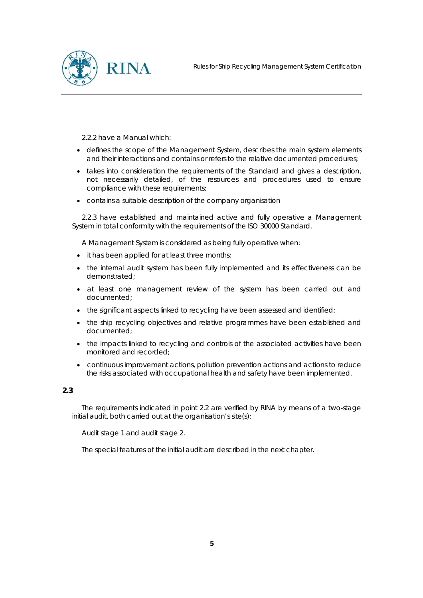

2.2.2 have a Manual which:

- defines the scope of the Management System, describes the main system elements and their interactions and contains or refers to the relative documented procedures;
- takes into consideration the requirements of the Standard and gives a description, not necessarily detailed, of the resources and procedures used to ensure compliance with these requirements;
- contains a suitable description of the company organisation

2.2.3 have established and maintained active and fully operative a Management System in total conformity with the requirements of the ISO 30000 Standard.

A Management System is considered as being fully operative when:

- it has been applied for at least three months;
- the internal audit system has been fully implemented and its effectiveness can be demonstrated;
- at least one management review of the system has been carried out and documented;
- the significant aspects linked to recycling have been assessed and identified;
- the ship recycling objectives and relative programmes have been established and documented;
- the impacts linked to recycling and controls of the associated activities have been monitored and recorded;
- continuous improvement actions, pollution prevention actions and actions to reduce the risks associated with occupational health and safety have been implemented.

## **2.3**

The requirements indicated in point 2.2 are verified by RINA by means of a two-stage initial audit, both carried out at the organisation's site(s):

Audit stage 1 and audit stage 2.

The special features of the initial audit are described in the next chapter.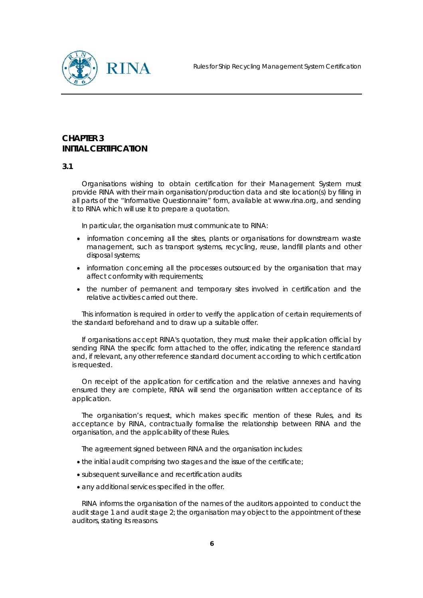

# **CHAPTER 3 INITIAL CERTIFICATION**

#### **3.1**

Organisations wishing to obtain certification for their Management System must provide RINA with their main organisation/production data and site location(s) by filling in all parts of the "Informative Questionnaire" form, available at www.rina.org, and sending it to RINA which will use it to prepare a quotation.

In particular, the organisation must communicate to RINA:

- information concerning all the sites, plants or organisations for downstream waste management, such as transport systems, recycling, reuse, landfill plants and other disposal systems;
- information concerning all the processes outsourced by the organisation that may affect conformity with requirements;
- the number of permanent and temporary sites involved in certification and the relative activities carried out there.

This information is required in order to verify the application of certain requirements of the standard beforehand and to draw up a suitable offer.

If organisations accept RINA's quotation, they must make their application official by sending RINA the specific form attached to the offer, indicating the reference standard and, if relevant, any other reference standard document according to which certification is requested.

On receipt of the application for certification and the relative annexes and having ensured they are complete, RINA will send the organisation written acceptance of its application.

The organisation's request, which makes specific mention of these Rules, and its acceptance by RINA, contractually formalise the relationship between RINA and the organisation, and the applicability of these Rules.

The agreement signed between RINA and the organisation includes:

- the initial audit comprising two stages and the issue of the certificate;
- subsequent surveillance and recertification audits
- any additional services specified in the offer.

RINA informs the organisation of the names of the auditors appointed to conduct the audit stage 1 and audit stage  $2$ ; the organisation may object to the appointment of these auditors, stating its reasons.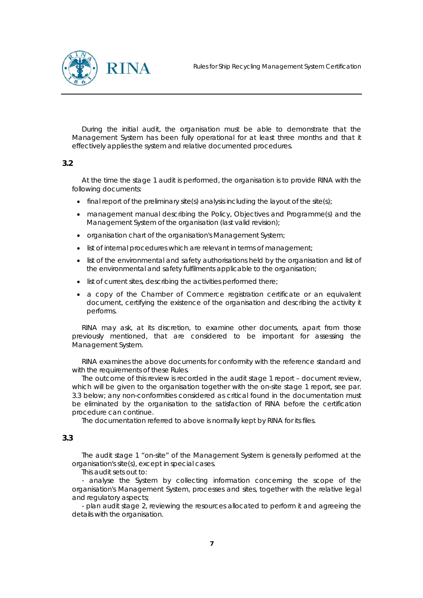

During the initial audit, the organisation must be able to demonstrate that the Management System has been fully operational for at least three months and that it effectively applies the system and relative documented procedures.

## **3.2**

At the time the stage 1 audit is performed, the organisation is to provide RINA with the following documents:

- $\bullet$  final report of the preliminary site(s) analysis including the layout of the site(s);
- management manual describing the Policy, Objectives and Programme(s) and the Management System of the organisation (last valid revision);
- organisation chart of the organisation's Management System;
- list of internal procedures which are relevant in terms of management;
- list of the environmental and safety authorisations held by the organisation and list of the environmental and safety fulfilments applicable to the organisation;
- list of current sites, describing the activities performed there;
- a copy of the Chamber of Commerce registration certificate or an equivalent document, certifying the existence of the organisation and describing the activity it performs.

RINA may ask, at its discretion, to examine other documents, apart from those previously mentioned, that are considered to be important for assessing the Management System.

RINA examines the above documents for conformity with the reference standard and with the requirements of these Rules.

The outcome of this review is recorded in the audit stage 1 report – document review, which will be given to the organisation together with the on-site stage 1 report, see par. 3.3 below; any non-conformities considered as critical found in the documentation must be eliminated by the organisation to the satisfaction of RINA before the certification procedure can continue.

The documentation referred to above is normally kept by RINA for its files.

## **3.3**

The audit stage 1 "on-site" of the Management System is generally performed at the organisation's site(s), except in special cases.

This audit sets out to:

- analyse the System by collecting information concerning the scope of the organisation's Management System, processes and sites, together with the relative legal and regulatory aspects;

- plan audit stage 2, reviewing the resources allocated to perform it and agreeing the details with the organisation.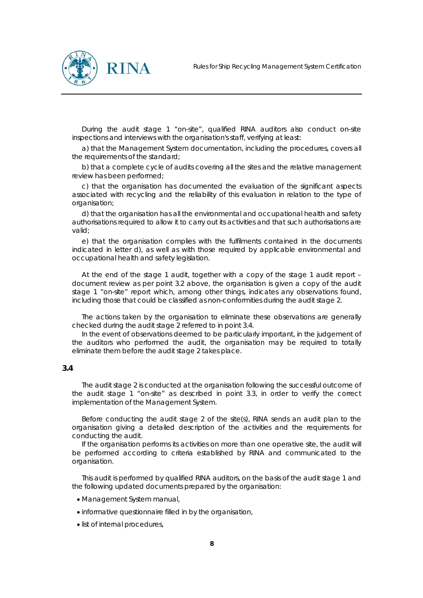

During the audit stage 1 "on-site", qualified RINA auditors also conduct on-site inspections and interviews with the organisation's staff, verifying at least:

a) that the Management System documentation, including the procedures, covers all the requirements of the standard;

b) that a complete cycle of audits covering all the sites and the relative management review has been performed;

c) that the organisation has documented the evaluation of the significant aspects associated with recycling and the reliability of this evaluation in relation to the type of organisation;

d) that the organisation has all the environmental and occupational health and safety authorisations required to allow it to carry out its activities and that such authorisations are valid;

e) that the organisation complies with the fulfilments contained in the documents indicated in letter d), as well as with those required by applicable environmental and occupational health and safety legislation.

At the end of the stage 1 audit, together with a copy of the stage 1 audit report – document review as per point 3.2 above, the organisation is given a copy of the audit stage 1 "on-site" report which, among other things, indicates any observations found, including those that could be classified as non-conformities during the audit stage 2.

The actions taken by the organisation to eliminate these observations are generally checked during the audit stage 2 referred to in point 3.4.

In the event of observations deemed to be particularly important, in the judgement of the auditors who performed the audit, the organisation may be required to totally eliminate them before the audit stage 2 takes place.

#### **3.4**

The audit stage 2 is conducted at the organisation following the successful outcome of the audit stage 1 "on-site" as described in point 3.3, in order to verify the correct implementation of the Management System.

Before conducting the audit stage 2 of the site(s), RINA sends an audit plan to the organisation giving a detailed description of the activities and the requirements for conducting the audit.

If the organisation performs its activities on more than one operative site, the audit will be performed according to criteria established by RINA and communicated to the organisation.

This audit is performed by qualified RINA auditors, on the basis of the audit stage 1 and the following updated documents prepared by the organisation:

- Management System manual,
- informative questionnaire filled in by the organisation,
- list of internal procedures,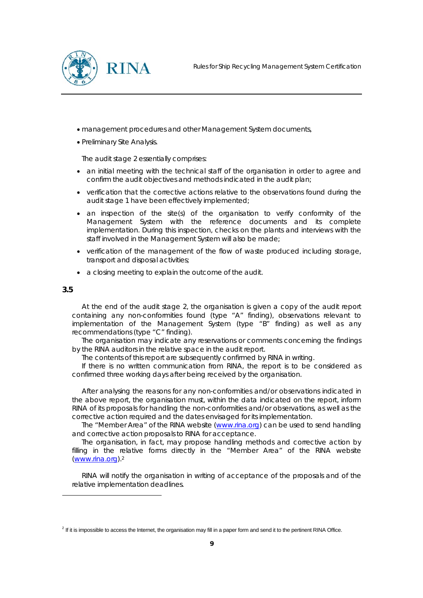

- management procedures and other Management System documents,
- Preliminary Site Analysis.

The audit stage 2 essentially comprises:

- an initial meeting with the technical staff of the organisation in order to agree and confirm the audit objectives and methods indicated in the audit plan;
- verification that the corrective actions relative to the observations found during the audit stage 1 have been effectively implemented;
- an inspection of the site(s) of the organisation to verify conformity of the Management System with the reference documents and its complete implementation. During this inspection, checks on the plants and interviews with the staff involved in the Management System will also be made;
- verification of the management of the flow of waste produced including storage, transport and disposal activities;
- a closing meeting to explain the outcome of the audit.

#### **3.5**

 $\overline{a}$ 

At the end of the audit stage 2, the organisation is given a copy of the audit report containing any non-conformities found (type "A" finding), observations relevant to implementation of the Management System (type "B" finding) as well as any recommendations (type "C" finding).

The organisation may indicate any reservations or comments concerning the findings by the RINA auditors in the relative space in the audit report.

The contents of this report are subsequently confirmed by RINA in writing.

If there is no written communication from RINA, the report is to be considered as confirmed three working days after being received by the organisation.

After analysing the reasons for any non-conformities and/or observations indicated in the above report, the organisation must, within the data indicated on the report, inform RINA of its proposals for handling the non-conformities and/or observations, as well as the corrective action required and the dates envisaged for its implementation.

The "Member Area" of the RINA website (www.rina.org) can be used to send handling and corrective action proposals to RINA for acceptance.

The organisation, in fact, may propose handling methods and corrective action by filling in the relative forms directly in the "Member Area" of the RINA website (www.rina.org).2

RINA will notify the organisation in writing of acceptance of the proposals and of the relative implementation deadlines.

<sup>&</sup>lt;sup>2</sup> If it is impossible to access the Internet, the organisation may fill in a paper form and send it to the pertinent RINA Office.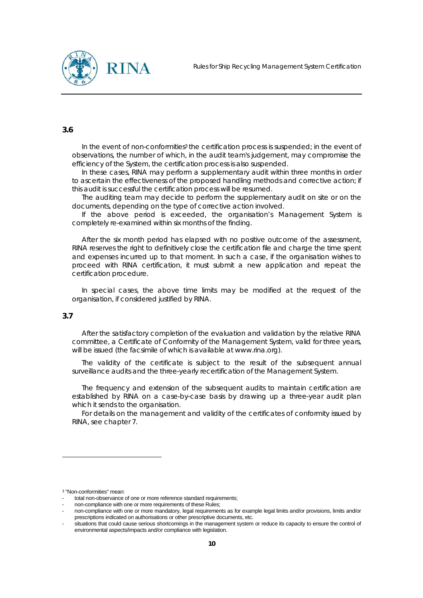

In the event of non-conformities<sup>3</sup> the certification process is suspended; in the event of observations, the number of which, in the audit team's judgement, may compromise the efficiency of the System, the certification process is also suspended.

In these cases, RINA may perform a supplementary audit within three months in order to ascertain the effectiveness of the proposed handling methods and corrective action; if this audit is successful the certification process will be resumed.

The auditing team may decide to perform the supplementary audit on site or on the documents, depending on the type of corrective action involved.

If the above period is exceeded, the organisation's Management System is completely re-examined within six months of the finding.

After the six month period has elapsed with no positive outcome of the assessment, RINA reserves the right to definitively close the certification file and charge the time spent and expenses incurred up to that moment. In such a case, if the organisation wishes to proceed with RINA certification, it must submit a new application and repeat the certification procedure.

In special cases, the above time limits may be modified at the request of the organisation, if considered justified by RINA.

## **3.7**

 $\overline{a}$ 

After the satisfactory completion of the evaluation and validation by the relative RINA committee, a Certificate of Conformity of the Management System, valid for three years, will be issued (the facsimile of which is available at www.rina.org).

The validity of the certificate is subject to the result of the subsequent annual surveillance audits and the three-yearly recertification of the Management System.

The frequency and extension of the subsequent audits to maintain certification are established by RINA on a case-by-case basis by drawing up a three-year audit plan which it sends to the organisation.

For details on the management and validity of the certificates of conformity issued by RINA, see chapter 7.

<sup>3</sup> "Non-conformities" mean:

total non-observance of one or more reference standard requirements;

non-compliance with one or more requirements of these Rules:

<sup>-</sup> non-compliance with one or more mandatory, legal requirements as for example legal limits and/or provisions, limits and/or prescriptions indicated on authorisations or other prescriptive documents, etc.

situations that could cause serious shortcomings in the management system or reduce its capacity to ensure the control of environmental aspects/impacts and/or compliance with legislation.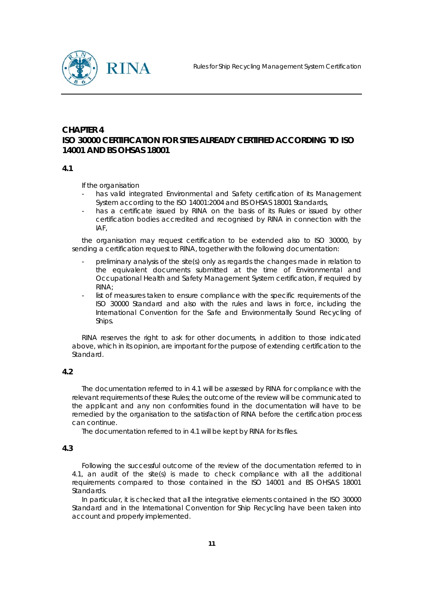

# **CHAPTER 4 ISO 30000 CERTIFICATION FOR SITES ALREADY CERTIFIED ACCORDING TO ISO 14001 AND BS OHSAS 18001**

#### **4.1**

If the organisation

- has valid integrated Environmental and Safety certification of its Management System according to the ISO 14001:2004 and BS OHSAS 18001 Standards,
- has a certificate issued by RINA on the basis of its Rules or issued by other certification bodies accredited and recognised by RINA in connection with the IAF,

the organisation may request certification to be extended also to ISO 30000, by sending a certification request to RINA, together with the following documentation:

- preliminary analysis of the site(s) only as regards the changes made in relation to the equivalent documents submitted at the time of Environmental and Occupational Health and Safety Management System certification, if required by RINA;
- list of measures taken to ensure compliance with the specific requirements of the ISO 30000 Standard and also with the rules and laws in force, including the International Convention for the Safe and Environmentally Sound Recycling of Ships.

RINA reserves the right to ask for other documents, in addition to those indicated above, which in its opinion, are important for the purpose of extending certification to the Standard.

## **4.2**

The documentation referred to in 4.1 will be assessed by RINA for compliance with the relevant requirements of these Rules; the outcome of the review will be communicated to the applicant and any non conformities found in the documentation will have to be remedied by the organisation to the satisfaction of RINA before the certification process can continue.

The documentation referred to in 4.1 will be kept by RINA for its files.

## **4.3**

Following the successful outcome of the review of the documentation referred to in 4.1, an audit of the site(s) is made to check compliance with all the additional requirements compared to those contained in the ISO 14001 and BS OHSAS 18001 Standards.

In particular, it is checked that all the integrative elements contained in the ISO 30000 Standard and in the International Convention for Ship Recycling have been taken into account and properly implemented.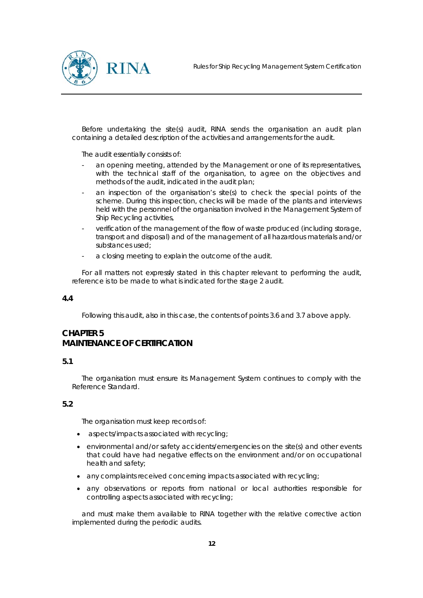

Before undertaking the site(s) audit, RINA sends the organisation an audit plan containing a detailed description of the activities and arrangements for the audit.

The audit essentially consists of:

- an opening meeting, attended by the Management or one of its representatives, with the technical staff of the organisation, to agree on the objectives and methods of the audit, indicated in the audit plan;
- an inspection of the organisation's site(s) to check the special points of the scheme. During this inspection, checks will be made of the plants and interviews held with the personnel of the organisation involved in the Management System of Ship Recycling activities,
- verification of the management of the flow of waste produced (including storage, transport and disposal) and of the management of all hazardous materials and/or substances used;
- a closing meeting to explain the outcome of the audit.

For all matters not expressly stated in this chapter relevant to performing the audit, reference is to be made to what is indicated for the stage 2 audit.

## **4.4**

Following this audit, also in this case, the contents of points 3.6 and 3.7 above apply.

# **CHAPTER 5 MAINTENANCE OF CERTIFICATION**

## **5.1**

The organisation must ensure its Management System continues to comply with the Reference Standard.

## **5.2**

The organisation must keep records of:

- aspects/impacts associated with recycling:
- environmental and/or safety accidents/emergencies on the site(s) and other events that could have had negative effects on the environment and/or on occupational health and safety;
- any complaints received concerning impacts associated with recycling;
- any observations or reports from national or local authorities responsible for controlling aspects associated with recycling;

and must make them available to RINA together with the relative corrective action implemented during the periodic audits.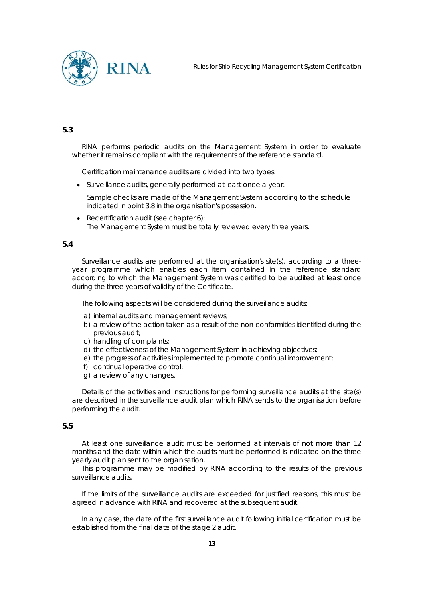

RINA performs periodic audits on the Management System in order to evaluate whether it remains compliant with the requirements of the reference standard.

Certification maintenance audits are divided into two types:

• Surveillance audits, generally performed at least once a year.

 Sample checks are made of the Management System according to the schedule indicated in point 3.8 in the organisation's possession.

• Recertification audit (see chapter 6); The Management System must be totally reviewed every three years.

#### **5.4**

Surveillance audits are performed at the organisation's site(s), according to a threeyear programme which enables each item contained in the reference standard according to which the Management System was certified to be audited at least once during the three years of validity of the Certificate.

The following aspects will be considered during the surveillance audits:

- a) internal audits and management reviews;
- b) a review of the action taken as a result of the non-conformities identified during the previous audit;
- c) handling of complaints;
- d) the effectiveness of the Management System in achieving objectives;
- e) the progress of activities implemented to promote continual improvement;
- f) continual operative control;
- g) a review of any changes.

Details of the activities and instructions for performing surveillance audits at the site(s) are described in the surveillance audit plan which RINA sends to the organisation before performing the audit.

## **5.5**

At least one surveillance audit must be performed at intervals of not more than 12 months and the date within which the audits must be performed is indicated on the three yearly audit plan sent to the organisation.

This programme may be modified by RINA according to the results of the previous surveillance audits.

If the limits of the surveillance audits are exceeded for justified reasons, this must be agreed in advance with RINA and recovered at the subsequent audit.

In any case, the date of the first surveillance audit following initial certification must be established from the final date of the stage 2 audit.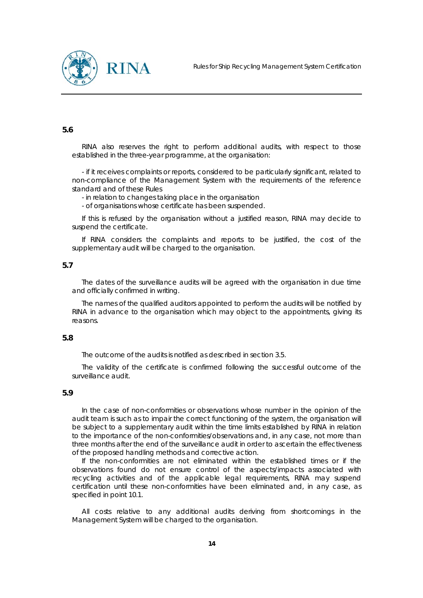

RINA also reserves the right to perform additional audits, with respect to those established in the three-year programme, at the organisation:

- if it receives complaints or reports, considered to be particularly significant, related to non-compliance of the Management System with the requirements of the reference standard and of these Rules

- in relation to changes taking place in the organisation

- of organisations whose certificate has been suspended.

If this is refused by the organisation without a justified reason, RINA may decide to suspend the certificate.

If RINA considers the complaints and reports to be justified, the cost of the supplementary audit will be charged to the organisation.

#### **5.7**

The dates of the surveillance audits will be agreed with the organisation in due time and officially confirmed in writing.

The names of the qualified auditors appointed to perform the audits will be notified by RINA in advance to the organisation which may object to the appointments, giving its reasons.

#### **5.8**

The outcome of the audits is notified as described in section 3.5.

The validity of the certificate is confirmed following the successful outcome of the surveillance audit.

#### **5.9**

In the case of non-conformities or observations whose number in the opinion of the audit team is such as to impair the correct functioning of the system, the organisation will be subject to a supplementary audit within the time limits established by RINA in relation to the importance of the non-conformities/observations and, in any case, not more than three months after the end of the surveillance audit in order to ascertain the effectiveness of the proposed handling methods and corrective action.

If the non-conformities are not eliminated within the established times or if the observations found do not ensure control of the aspects/impacts associated with recycling activities and of the applicable legal requirements, RINA may suspend certification until these non-conformities have been eliminated and, in any case, as specified in point 10.1.

All costs relative to any additional audits deriving from shortcomings in the Management System will be charged to the organisation.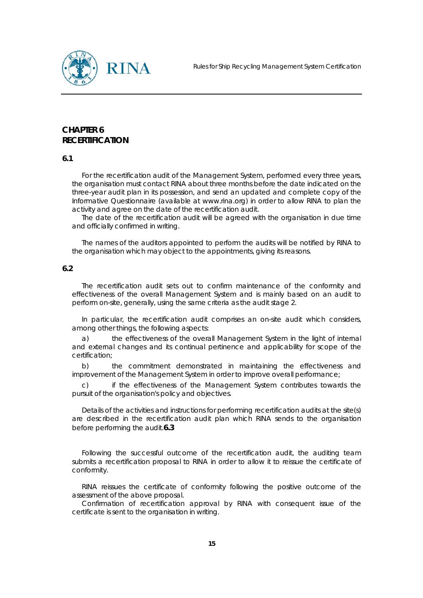

# **CHAPTER 6 RECERTIFICATION**

**6.1** 

For the recertification audit of the Management System, performed every three years, the organisation must contact RINA about three months before the date indicated on the three-year audit plan in its possession, and send an updated and complete copy of the Informative Questionnaire (available at www.rina.org) in order to allow RINA to plan the activity and agree on the date of the recertification audit.

The date of the recertification audit will be agreed with the organisation in due time and officially confirmed in writing.

The names of the auditors appointed to perform the audits will be notified by RINA to the organisation which may object to the appointments, giving its reasons.

#### **6.2**

The recertification audit sets out to confirm maintenance of the conformity and effectiveness of the overall Management System and is mainly based on an audit to perform on-site, generally, using the same criteria as the audit stage 2.

In particular, the recertification audit comprises an on-site audit which considers, among other things, the following aspects:

a) the effectiveness of the overall Management System in the light of internal and external changes and its continual pertinence and applicability for scope of the certification;

b) the commitment demonstrated in maintaining the effectiveness and improvement of the Management System in order to improve overall performance;

c) if the effectiveness of the Management System contributes towards the pursuit of the organisation's policy and objectives.

Details of the activities and instructions for performing recertification audits at the site(s) are described in the recertification audit plan which RINA sends to the organisation before performing the audit.**6.3** 

Following the successful outcome of the recertification audit, the auditing team submits a recertification proposal to RINA in order to allow it to reissue the certificate of conformity.

RINA reissues the certificate of conformity following the positive outcome of the assessment of the above proposal.

Confirmation of recertification approval by RINA with consequent issue of the certificate is sent to the organisation in writing.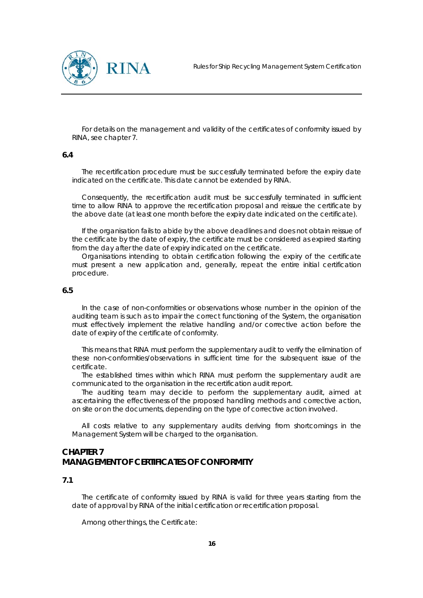



For details on the management and validity of the certificates of conformity issued by RINA, see chapter 7.

#### **6.4**

The recertification procedure must be successfully terminated before the expiry date indicated on the certificate. This date cannot be extended by RINA.

Consequently, the recertification audit must be successfully terminated in sufficient time to allow RINA to approve the recertification proposal and reissue the certificate by the above date (at least one month before the expiry date indicated on the certificate).

If the organisation fails to abide by the above deadlines and does not obtain reissue of the certificate by the date of expiry, the certificate must be considered as expired starting from the day after the date of expiry indicated on the certificate.

Organisations intending to obtain certification following the expiry of the certificate must present a new application and, generally, repeat the entire initial certification procedure.

#### **6.5**

In the case of non-conformities or observations whose number in the opinion of the auditing team is such as to impair the correct functioning of the System, the organisation must effectively implement the relative handling and/or corrective action before the date of expiry of the certificate of conformity.

This means that RINA must perform the supplementary audit to verify the elimination of these non-conformities/observations in sufficient time for the subsequent issue of the certificate.

The established times within which RINA must perform the supplementary audit are communicated to the organisation in the recertification audit report.

The auditing team may decide to perform the supplementary audit, aimed at ascertaining the effectiveness of the proposed handling methods and corrective action, on site or on the documents, depending on the type of corrective action involved.

All costs relative to any supplementary audits deriving from shortcomings in the Management System will be charged to the organisation.

# **CHAPTER 7 MANAGEMENT OF CERTIFICATES OF CONFORMITY**

#### **7.1**

The certificate of conformity issued by RINA is valid for three years starting from the date of approval by RINA of the initial certification or recertification proposal.

Among other things, the Certificate: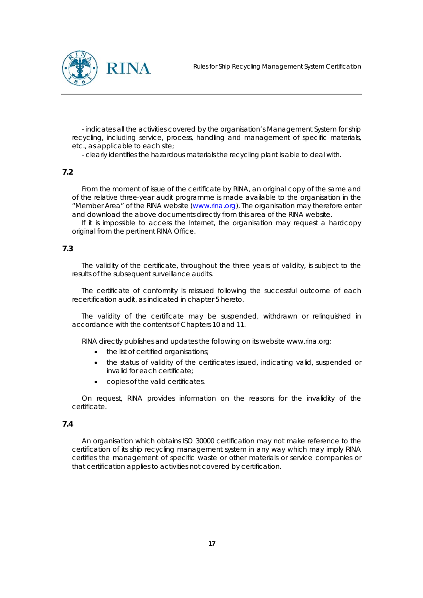

- indicates all the activities covered by the organisation's Management System for ship recycling, including service, process, handling and management of specific materials, etc., as applicable to each site;

- clearly identifies the hazardous materials the recycling plant is able to deal with.

#### **7.2**

From the moment of issue of the certificate by RINA, an original copy of the same and of the relative three-year audit programme is made available to the organisation in the "Member Area" of the RINA website (www.rina.org). The organisation may therefore enter and download the above documents directly from this area of the RINA website.

If it is impossible to access the Internet, the organisation may request a hardcopy original from the pertinent RINA Office.

## **7.3**

The validity of the certificate, throughout the three years of validity, is subject to the results of the subsequent surveillance audits.

The certificate of conformity is reissued following the successful outcome of each recertification audit, as indicated in chapter 5 hereto.

The validity of the certificate may be suspended, withdrawn or relinquished in accordance with the contents of Chapters 10 and 11.

RINA directly publishes and updates the following on its website www.rina.org:

- the list of certified organisations;
- the status of validity of the certificates issued, indicating valid, suspended or invalid for each certificate;
- copies of the valid certificates.

On request, RINA provides information on the reasons for the invalidity of the certificate.

## **7.4**

An organisation which obtains ISO 30000 certification may not make reference to the certification of its ship recycling management system in any way which may imply RINA certifies the management of specific waste or other materials or service companies or that certification applies to activities not covered by certification.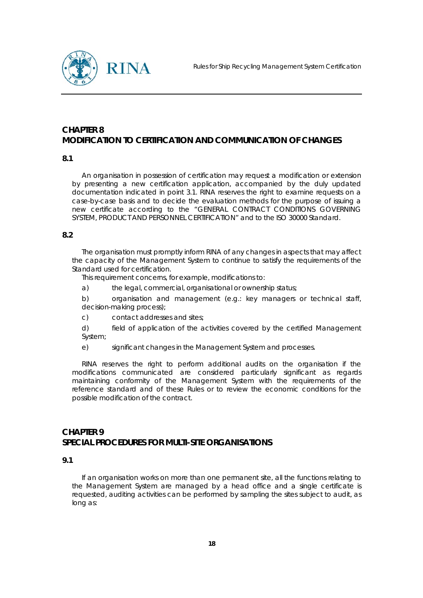

# **CHAPTER 8 MODIFICATION TO CERTIFICATION AND COMMUNICATION OF CHANGES**

#### **8.1**

An organisation in possession of certification may request a modification or extension by presenting a new certification application, accompanied by the duly updated documentation indicated in point 3.1. RINA reserves the right to examine requests on a case-by-case basis and to decide the evaluation methods for the purpose of issuing a new certificate according to the "GENERAL CONTRACT CONDITIONS GOVERNING SYSTEM, PRODUCT AND PERSONNEL CERTIFICATION" and to the ISO 30000 Standard.

#### **8.2**

The organisation must promptly inform RINA of any changes in aspects that may affect the capacity of the Management System to continue to satisfy the requirements of the Standard used for certification.

This requirement concerns, for example, modifications to:

a) the legal, commercial, organisational or ownership status;

b) organisation and management (e.g.: key managers or technical staff, decision-making process);

c) contact addresses and sites;

d) field of application of the activities covered by the certified Management System;

e) significant changes in the Management System and processes.

RINA reserves the right to perform additional audits on the organisation if the modifications communicated are considered particularly significant as regards maintaining conformity of the Management System with the requirements of the reference standard and of these Rules or to review the economic conditions for the possible modification of the contract.

# **CHAPTER 9 SPECIAL PROCEDURES FOR MULTI-SITE ORGANISATIONS**

#### **9.1**

If an organisation works on more than one permanent site, all the functions relating to the Management System are managed by a head office and a single certificate is requested, auditing activities can be performed by sampling the sites subject to audit, as long as: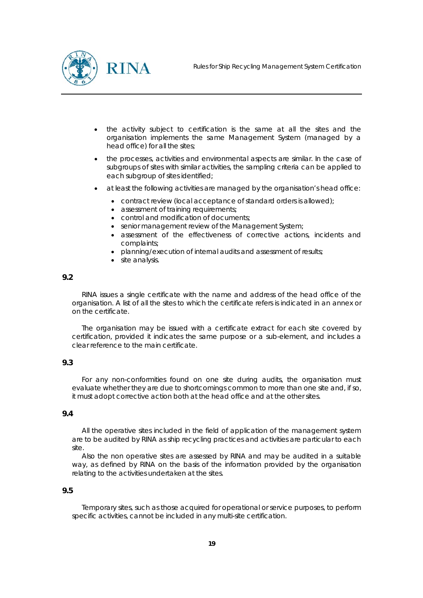

- the activity subject to certification is the same at all the sites and the organisation implements the same Management System (managed by a head office) for all the sites;
- the processes, activities and environmental aspects are similar. In the case of subgroups of sites with similar activities, the sampling criteria can be applied to each subgroup of sites identified;
- at least the following activities are managed by the organisation's head office:
	- contract review (local acceptance of standard orders is allowed);
	- assessment of training requirements;
	- control and modification of documents;
	- senior management review of the Management System;
	- assessment of the effectiveness of corrective actions, incidents and complaints;
	- planning/execution of internal audits and assessment of results;
	- site analysis.

RINA issues a single certificate with the name and address of the head office of the organisation. A list of all the sites to which the certificate refers is indicated in an annex or on the certificate.

The organisation may be issued with a certificate extract for each site covered by certification, provided it indicates the same purpose or a sub-element, and includes a clear reference to the main certificate.

## **9.3**

For any non-conformities found on one site during audits, the organisation must evaluate whether they are due to shortcomings common to more than one site and, if so, it must adopt corrective action both at the head office and at the other sites.

#### **9.4**

All the operative sites included in the field of application of the management system are to be audited by RINA as ship recycling practices and activities are particular to each site.

Also the non operative sites are assessed by RINA and may be audited in a suitable way, as defined by RINA on the basis of the information provided by the organisation relating to the activities undertaken at the sites.

#### **9.5**

Temporary sites, such as those acquired for operational or service purposes, to perform specific activities, cannot be included in any multi-site certification.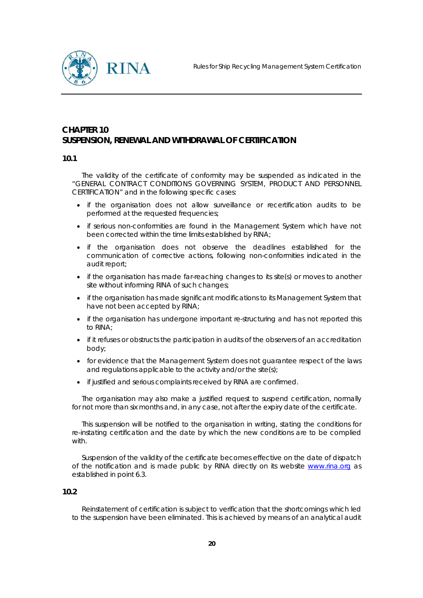

# **CHAPTER 10 SUSPENSION, RENEWAL AND WITHDRAWAL OF CERTIFICATION**

#### **10.1**

The validity of the certificate of conformity may be suspended as indicated in the "GENERAL CONTRACT CONDITIONS GOVERNING SYSTEM, PRODUCT AND PERSONNEL CERTIFICATION" and in the following specific cases:

- if the organisation does not allow surveillance or recertification audits to be performed at the requested frequencies;
- if serious non-conformities are found in the Management System which have not been corrected within the time limits established by RINA;
- if the organisation does not observe the deadlines established for the communication of corrective actions, following non-conformities indicated in the audit report;
- if the organisation has made far-reaching changes to its site(s) or moves to another site without informing RINA of such changes;
- if the organisation has made significant modifications to its Management System that have not been accepted by RINA;
- if the organisation has undergone important re-structuring and has not reported this to RINA;
- if it refuses or obstructs the participation in audits of the observers of an accreditation body;
- for evidence that the Management System does not guarantee respect of the laws and regulations applicable to the activity and/or the site(s);
- if justified and serious complaints received by RINA are confirmed.

The organisation may also make a justified request to suspend certification, normally for not more than six months and, in any case, not after the expiry date of the certificate.

This suspension will be notified to the organisation in writing, stating the conditions for re-instating certification and the date by which the new conditions are to be complied with.

Suspension of the validity of the certificate becomes effective on the date of dispatch of the notification and is made public by RINA directly on its website www.rina.org as established in point 6.3.

#### **10.2**

Reinstatement of certification is subject to verification that the shortcomings which led to the suspension have been eliminated. This is achieved by means of an analytical audit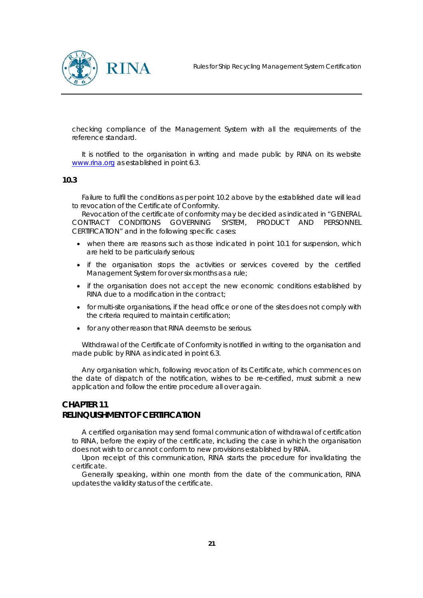

checking compliance of the Management System with all the requirements of the reference standard.

It is notified to the organisation in writing and made public by RINA on its website www.rina.org as established in point 6.3.

#### **10.3**

Failure to fulfil the conditions as per point 10.2 above by the established date will lead to revocation of the Certificate of Conformity.

Revocation of the certificate of conformity may be decided as indicated in "GENERAL CONTRACT CONDITIONS GOVERNING SYSTEM, PRODUCT AND PERSONNEL CERTIFICATION" and in the following specific cases:

- when there are reasons such as those indicated in point 10.1 for suspension, which are held to be particularly serious;
- if the organisation stops the activities or services covered by the certified Management System for over six months as a rule;
- if the organisation does not accept the new economic conditions established by RINA due to a modification in the contract;
- for multi-site organisations, if the head office or one of the sites does not comply with the criteria required to maintain certification;
- for any other reason that RINA deems to be serious.

Withdrawal of the Certificate of Conformity is notified in writing to the organisation and made public by RINA as indicated in point 6.3.

Any organisation which, following revocation of its Certificate, which commences on the date of dispatch of the notification, wishes to be re-certified, must submit a new application and follow the entire procedure all over again.

# **CHAPTER 11 RELINQUISHMENT OF CERTIFICATION**

A certified organisation may send formal communication of withdrawal of certification to RINA, before the expiry of the certificate, including the case in which the organisation does not wish to or cannot conform to new provisions established by RINA.

Upon receipt of this communication, RINA starts the procedure for invalidating the certificate.

Generally speaking, within one month from the date of the communication, RINA updates the validity status of the certificate.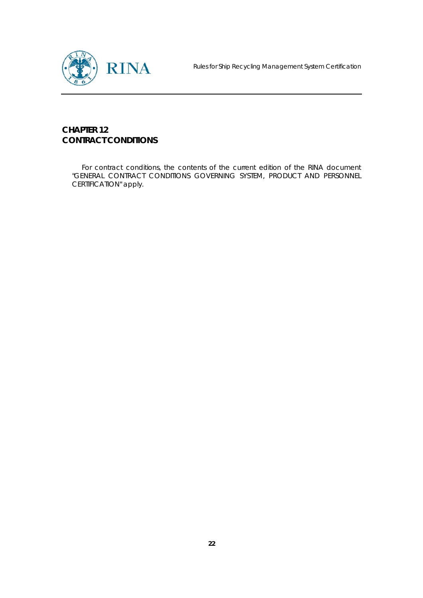

# **CHAPTER 12 CONTRACT CONDITIONS**

For contract conditions, the contents of the current edition of the RINA document "GENERAL CONTRACT CONDITIONS GOVERNING SYSTEM, PRODUCT AND PERSONNEL CERTIFICATION" apply.